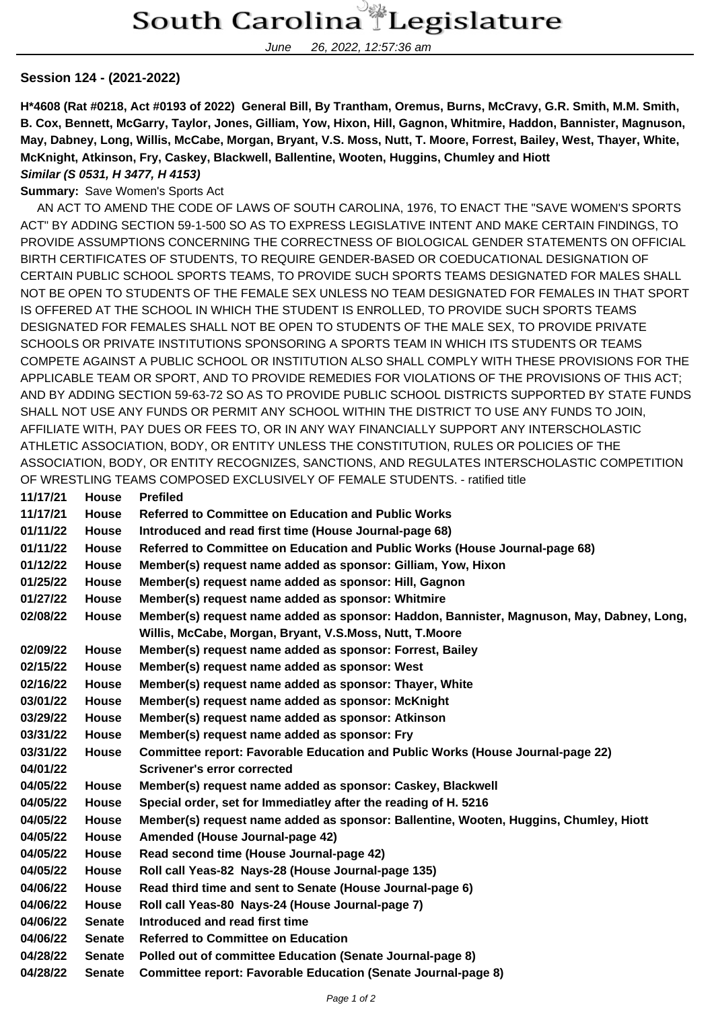June 26, 2022, 12:57:36 am

## **Session 124 - (2021-2022)**

**H\*4608 (Rat #0218, Act #0193 of 2022) General Bill, By Trantham, Oremus, Burns, McCravy, G.R. Smith, M.M. Smith, B. Cox, Bennett, McGarry, Taylor, Jones, Gilliam, Yow, Hixon, Hill, Gagnon, Whitmire, Haddon, Bannister, Magnuson, May, Dabney, Long, Willis, McCabe, Morgan, Bryant, V.S. Moss, Nutt, T. Moore, Forrest, Bailey, West, Thayer, White, McKnight, Atkinson, Fry, Caskey, Blackwell, Ballentine, Wooten, Huggins, Chumley and Hiott**

## **Similar (S 0531, H 3477, H 4153)**

## **Summary:** Save Women's Sports Act

 AN ACT TO AMEND THE CODE OF LAWS OF SOUTH CAROLINA, 1976, TO ENACT THE "SAVE WOMEN'S SPORTS ACT" BY ADDING SECTION 59-1-500 SO AS TO EXPRESS LEGISLATIVE INTENT AND MAKE CERTAIN FINDINGS, TO PROVIDE ASSUMPTIONS CONCERNING THE CORRECTNESS OF BIOLOGICAL GENDER STATEMENTS ON OFFICIAL BIRTH CERTIFICATES OF STUDENTS, TO REQUIRE GENDER-BASED OR COEDUCATIONAL DESIGNATION OF CERTAIN PUBLIC SCHOOL SPORTS TEAMS, TO PROVIDE SUCH SPORTS TEAMS DESIGNATED FOR MALES SHALL NOT BE OPEN TO STUDENTS OF THE FEMALE SEX UNLESS NO TEAM DESIGNATED FOR FEMALES IN THAT SPORT IS OFFERED AT THE SCHOOL IN WHICH THE STUDENT IS ENROLLED, TO PROVIDE SUCH SPORTS TEAMS DESIGNATED FOR FEMALES SHALL NOT BE OPEN TO STUDENTS OF THE MALE SEX, TO PROVIDE PRIVATE SCHOOLS OR PRIVATE INSTITUTIONS SPONSORING A SPORTS TEAM IN WHICH ITS STUDENTS OR TEAMS COMPETE AGAINST A PUBLIC SCHOOL OR INSTITUTION ALSO SHALL COMPLY WITH THESE PROVISIONS FOR THE APPLICABLE TEAM OR SPORT, AND TO PROVIDE REMEDIES FOR VIOLATIONS OF THE PROVISIONS OF THIS ACT; AND BY ADDING SECTION 59-63-72 SO AS TO PROVIDE PUBLIC SCHOOL DISTRICTS SUPPORTED BY STATE FUNDS SHALL NOT USE ANY FUNDS OR PERMIT ANY SCHOOL WITHIN THE DISTRICT TO USE ANY FUNDS TO JOIN, AFFILIATE WITH, PAY DUES OR FEES TO, OR IN ANY WAY FINANCIALLY SUPPORT ANY INTERSCHOLASTIC ATHLETIC ASSOCIATION, BODY, OR ENTITY UNLESS THE CONSTITUTION, RULES OR POLICIES OF THE ASSOCIATION, BODY, OR ENTITY RECOGNIZES, SANCTIONS, AND REGULATES INTERSCHOLASTIC COMPETITION OF WRESTLING TEAMS COMPOSED EXCLUSIVELY OF FEMALE STUDENTS. - ratified title **11/17/21 House Prefiled**

| 1111121  | nouse         | <b>Premeg</b>                                                                            |
|----------|---------------|------------------------------------------------------------------------------------------|
| 11/17/21 | <b>House</b>  | <b>Referred to Committee on Education and Public Works</b>                               |
| 01/11/22 | <b>House</b>  | Introduced and read first time (House Journal-page 68)                                   |
| 01/11/22 | <b>House</b>  | Referred to Committee on Education and Public Works (House Journal-page 68)              |
| 01/12/22 | <b>House</b>  | Member(s) request name added as sponsor: Gilliam, Yow, Hixon                             |
| 01/25/22 | <b>House</b>  | Member(s) request name added as sponsor: Hill, Gagnon                                    |
| 01/27/22 | <b>House</b>  | Member(s) request name added as sponsor: Whitmire                                        |
| 02/08/22 | <b>House</b>  | Member(s) request name added as sponsor: Haddon, Bannister, Magnuson, May, Dabney, Long, |
|          |               | Willis, McCabe, Morgan, Bryant, V.S.Moss, Nutt, T.Moore                                  |
| 02/09/22 | <b>House</b>  | Member(s) request name added as sponsor: Forrest, Bailey                                 |
| 02/15/22 | <b>House</b>  | Member(s) request name added as sponsor: West                                            |
| 02/16/22 | House         | Member(s) request name added as sponsor: Thayer, White                                   |
| 03/01/22 | <b>House</b>  | Member(s) request name added as sponsor: McKnight                                        |
| 03/29/22 | <b>House</b>  | Member(s) request name added as sponsor: Atkinson                                        |
| 03/31/22 | House         | Member(s) request name added as sponsor: Fry                                             |
| 03/31/22 | <b>House</b>  | <b>Committee report: Favorable Education and Public Works (House Journal-page 22)</b>    |
| 04/01/22 |               | <b>Scrivener's error corrected</b>                                                       |
| 04/05/22 | <b>House</b>  | Member(s) request name added as sponsor: Caskey, Blackwell                               |
| 04/05/22 | House         | Special order, set for Immediatley after the reading of H. 5216                          |
| 04/05/22 | <b>House</b>  | Member(s) request name added as sponsor: Ballentine, Wooten, Huggins, Chumley, Hiott     |
| 04/05/22 | <b>House</b>  | Amended (House Journal-page 42)                                                          |
| 04/05/22 | <b>House</b>  | Read second time (House Journal-page 42)                                                 |
| 04/05/22 | <b>House</b>  | Roll call Yeas-82 Nays-28 (House Journal-page 135)                                       |
| 04/06/22 | <b>House</b>  | Read third time and sent to Senate (House Journal-page 6)                                |
| 04/06/22 | House         | Roll call Yeas-80 Nays-24 (House Journal-page 7)                                         |
| 04/06/22 | <b>Senate</b> | Introduced and read first time                                                           |
| 04/06/22 | <b>Senate</b> | <b>Referred to Committee on Education</b>                                                |
| 04/28/22 | <b>Senate</b> | Polled out of committee Education (Senate Journal-page 8)                                |
| 04/28/22 | <b>Senate</b> | <b>Committee report: Favorable Education (Senate Journal-page 8)</b>                     |